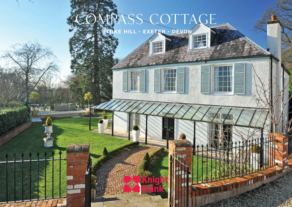# OMPASS COTTAGE **STOKE HILL • EXETER • DEVON**

H

**THE REAL PROPERTY** 

 $\left( \bullet \right)$ 

壬

Н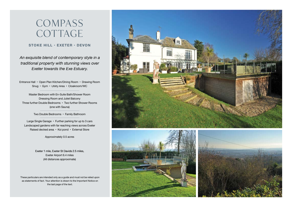## **COMPASS** COTTAGE

### **STOKE HILL • EXETER • DEVON**

*An exquisite blend of contemporary style in a traditional property with stunning views over Exeter towards the Exe Estuary.*

Entrance Hall • Open Plan Kitchen/Dining Room • Drawing Room Snug • Gym • Utility Area • Cloakroom/WC

Master Bedroom with En-Suite Bath/Shower Room Dressing Room and Juliet Balcony Three further Double Bedrooms • Two further Shower Rooms (one with Sauna)

Two Double Bedrooms • Family Bathroom

Large Single Garage • Further parking for up to 3 cars Landscaped gardens with far reaching views across Exeter Raised decked area • Koi pond • External Store

Approximately 0.5 acres

Exeter 1 mile, Exeter St Davids 2.5 miles, Exeter Airport 6.4 miles (All distances approximate)

These particulars are intended only as a guide and must not be relied upon as statements of fact. Your attention is drawn to the Important Notice on the last page of the text.





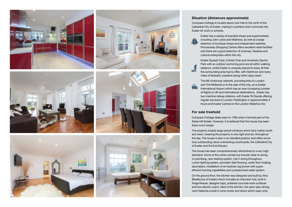

#### **Situation (distances approximate)**

Compass Cottage is located about one mile to the north of the Cathedral City of Exeter, making it a perfect short commute into Exeter for work or schools.

Exeter has a variety of branded shops and supermarkets including John Lewis and Waitrose, as well as a large selection of boutique shops and independent eateries. Princesshay Shopping Centre offers excellent retail facilities and there are a good selection of cinemas, theatres and cultural enterprises within the city.

Exeter Squash Club, Cricket Club and University Sports Park with an outdoor swimming pool are all within walking distance, whilst Exeter is uniquely placed to enjoy all that the surrounding area has to offer, with Dartmoor and many miles of fantastic coastline being within easy reach.

The M5 motorway network, providing links to London and The Midlands is to the east of the city, as is Exeter International Airport which has an ever increasing number of flights to UK and international destinations. Exeter has two mainline railway stations, with Exeter St Davids offering regular services to London Paddington in approximately 2 hours and Exeter Central on the London Waterloo line.

#### **For sale freehold**

Compass Cottage dates back to 1780 when it formed part of the Stoke Hill Estate. However, it is believed that the house has been there much longer.

The property boasts large period windows which face mainly south and west, meaning the property is very light and airy throughout the day. The house is also in an elevated position and offers some truly outstanding views overlooking countryside, the Cathedral City of Exeter and the Exe Estuary.

The house has been comprehensively refurbished to a very high standard. Some of the works carried out include: total re-wiring, re-plumbing, new heating system, Cat 5 wiring throughout, Lutron lighting system, porcelain tiled flooring, under floor heating downstairs, installation of an Austrian log burner with superefficient burning capabilities and a pressurised water system.

On the ground floor, the kitchen was designed and built by Alno (Bradburys of Exeter) which includes an induction hob, built-in fridge/freezer, designer taps, polished concrete work surfaces and two electric ovens. Next to the kitchen, the open-plan dining room features a built-in wine cooler and doors which open onto